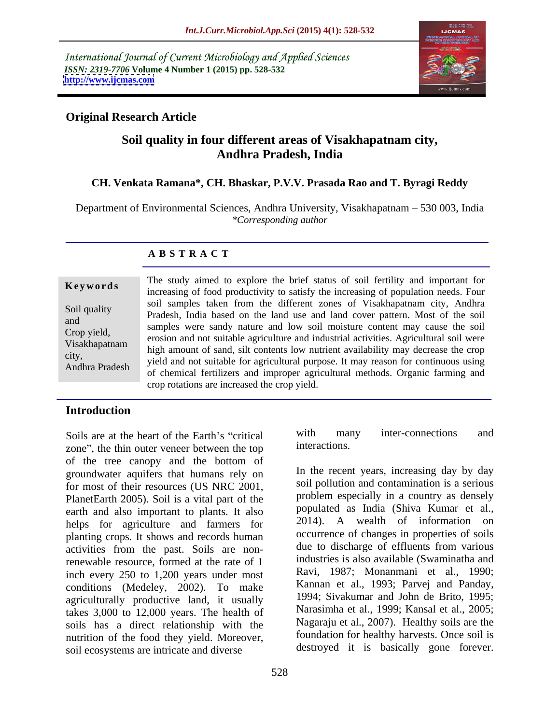International Journal of Current Microbiology and Applied Sciences *ISSN: 2319-7706* **Volume 4 Number 1 (2015) pp. 528-532 <http://www.ijcmas.com>**



## **Original Research Article**

# **Soil quality in four different areas of Visakhapatnam city, Andhra Pradesh, India**

#### **CH. Venkata Ramana\*, CH. Bhaskar, P.V.V. Prasada Rao and T. Byragi Reddy**

Department of Environmental Sciences, Andhra University, Visakhapatnam - 530 003, India *\*Corresponding author* 

#### **A B S T R A C T**

Andhra Pradesh

The study aimed to explore the brief status of soil fertility and important for **Keywords** increasing of food productivity to satisfy the increasing of population needs. Four soil samples taken from the different zones of Visakhapatnam city, Andhra Soil quality<br>
Pradesh, India based on the land use and land cover pattern. Most of the soil samples were sandy nature and low soil moisture content may cause the soil<br>Crop viola erosion and not suitable agriculture and industrial activities. Agricultural soil were Crop yield, Visakhapatnam<br>high amount of sand, silt contents low nutrient availability may decrease the crop extractivity,<br>
yield and not suitable for agricultural purpose. It may reason for continuous using<br>
case the crop vield and not suitable for agricultural purpose. It may reason for continuous using of chemical fertilizers and improper agricultural methods. Organic farming and crop rotations are increased the crop yield.

#### **Introduction**

zone", the thin outer veneer between the top of the tree canopy and the bottom of groundwater aquifers that humans rely on for most of their resources (US NRC 2001, PlanetEarth 2005). Soil is a vital part of the earth and also important to plants. It also helps for agriculture and farmers for planting crops. It shows and records human activities from the past. Soils are nonrenewable resource, formed at the rate of 1 inch every 250 to 1,200 years under most conditions (Medeley, 2002). To make agriculturally productive land, it usually takes 3,000 to 12,000 years. The health of soils has a direct relationship with the nutrition of the food they yield. Moreover, soil ecosystems are intricate and diverse

Soils are at the heart of the Earth's "critical with many inter-connections and  $\frac{1}{2}$  and  $\frac{1}{2}$  and  $\frac{1}{2}$  and  $\frac{1}{2}$  and  $\frac{1}{2}$  and  $\frac{1}{2}$  and  $\frac{1}{2}$  and  $\frac{1}{2}$  and  $\frac{1}{2}$  and  $\frac{1}{2}$  and  $\$ with many inter-connections and interactions.

> In the recent years, increasing day by day soil pollution and contamination is a serious problem especially in a country as densely populated as India (Shiva Kumar et al., 2014). A wealth of information on occurrence of changes in properties of soils due to discharge of effluents from various industries is also available (Swaminatha and Ravi, 1987; Monanmani et al., 1990; Kannan et al., 1993; Parvej and Panday, 1994; Sivakumar and John de Brito, 1995; Narasimha et al., 1999; Kansal et al., 2005; Nagaraju et al., 2007). Healthy soils are the foundation for healthy harvests. Once soil is destroyed it is basically gone forever.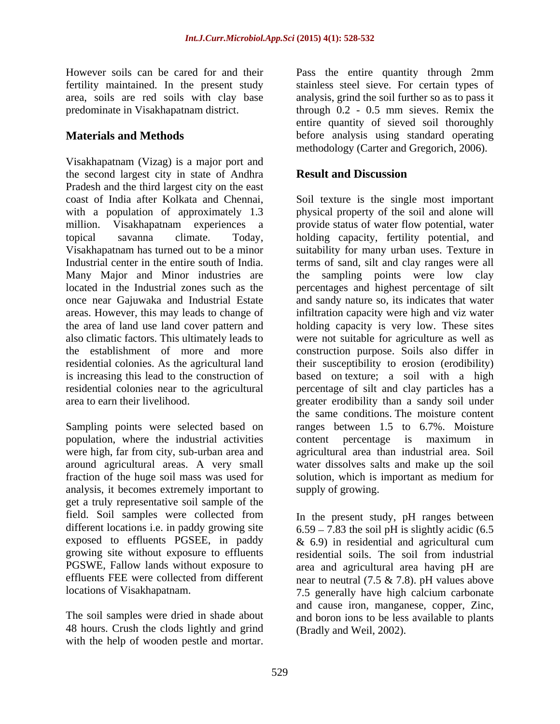Visakhapatnam (Vizag) is a major port and the second largest city in state of Andhra **Result and Discussion** Pradesh and the third largest city on the east coast of India after Kolkata and Chennai, Soil texture is the single most important with a population of approximately 1.3 million. Visakhapatnam experiences a provide status of water flow potential, water topical savanna climate. Today, holding capacity, fertility potential, and Visakhapatnam has turned out to be a minor suitability for many urban uses. Texture in Industrial center in the entire south of India. terms of sand, silt and clay ranges were all Many Major and Minor industries are the located in the Industrial zones such as the percentages and highest percentage of silt once near Gajuwaka and Industrial Estate and sandy nature so, its indicates that water areas. However, this may leads to change of infiltration capacity were high and viz water the area of land use land cover pattern and holding capacity is very low. These sites also climatic factors. This ultimately leads to were not suitable for agriculture as well as the establishment of more and more construction purpose. Soils also differ in residential colonies. As the agricultural land their susceptibility to erosion (erodibility) is increasing this lead to the construction of based on texture; a soil with a high residential colonies near to the agricultural percentage of silt and clay particles has a

Sampling points were selected based on population, where the industrial activities content percentage is maximum in around agricultural areas. A very small analysis, it becomes extremely important to get a truly representative soil sample of the field. Soil samples were collected from exposed to effluents PGSEE, in paddy

48 hours. Crush the clods lightly and grind with the help of wooden pestle and mortar.

However soils can be cared for and their Pass the entire quantity through 2mm fertility maintained. In the present study stainless steel sieve. For certain types of area, soils are red soils with clay base analysis, grind the soil further so as to pass it predominate in Visakhapatnam district. through 0.2 - 0.5 mm sieves. Remix the **Materials and Methods before** analysis using standard operating entire quantity of sieved soil thoroughly methodology (Carter and Gregorich, 2006).

## **Result and Discussion**

area to earn their livelihood. greater erodibility than a sandy soil under were high, far from city, sub-urban area and agricultural area than industrial area. Soil fraction of the huge soil mass was used for solution, which is important as medium for physical property of the soil and alone will sampling points were low clay the same conditions. The moisture content ranges between 1.5 to 6.7%. Moisture content percentage is maximum in water dissolves salts and make up the soil supply of growing.

different locations i.e. in paddy growing site  $6.59 - 7.83$  the soil pH is slightly acidic (6.5 growing site without exposure to effluents residential soils. The soil from industrial PGSWE, Fallow lands without exposure to area and agricultural area having pH are effluents FEE were collected from different near to neutral (7.5 & 7.8). pH values above locations of Visakhapatnam. 7.5 generally have high calcium carbonate The soil samples were dried in shade about and boron ions to be less available to plants In the present study, pH ranges between & 6.9) in residential and agricultural cum and cause iron, manganese, copper, Zinc, (Bradly and Weil, 2002).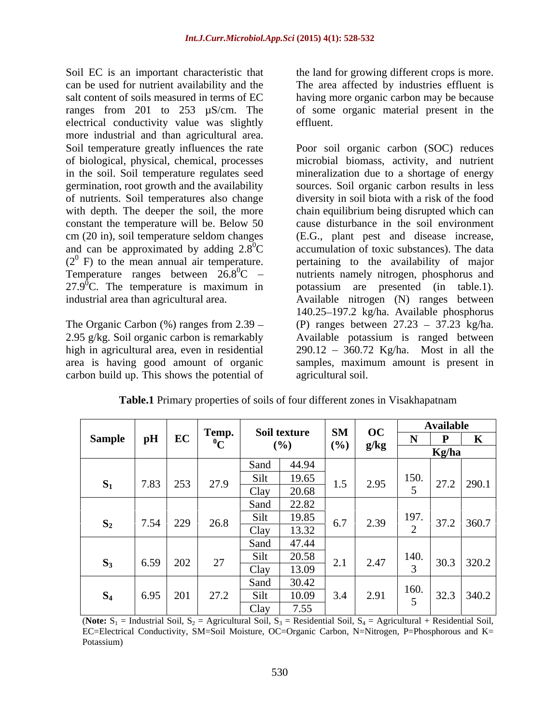Soil EC is an important characteristic that the land for growing different crops is more. can be used for nutrient availability and the The area affected by industries effluent is salt content of soils measured in terms of EC having more organic carbon may be because ranges from 201 to 253 µS/cm. The of some organic material present in the electrical conductivity value was slightly effluent. more industrial and than agricultural area. of nutrients. Soil temperatures also change ( $2^0$  F) to the mean annual air temperature.<br>Temperature ranges between  $26.8^0C$  –

high in agricultural area, even in residential carbon build up. This shows the potential of effluent.

Soil temperature greatly influences the rate Poor soil organic carbon (SOC) reduces of biological, physical, chemical, processes microbial biomass, activity, and nutrient in the soil. Soil temperature regulates seed mineralization due to a shortage of energy germination, root growth and the availability sources. Soil organic carbon results in less with depth. The deeper the soil, the more chain equilibrium being disrupted which can constant the temperature will be. Below 50 cause disturbance in the soil environment cm (20 in), soil temperature seldom changes (E.G., plant pest and disease increase, and can be approximated by adding  $2.8^{\circ}$ C accumulation of toxic substances). The data Temperature ranges between  $26.8^{\circ}\text{C}$  – nutrients namely nitrogen, phosphorus and 27.9 ${}^{0}$ C. The temperature is maximum in potassium are presented (in table.1). industrial area than agricultural area. Available nitrogen (N) ranges between The Organic Carbon  $(\%)$  ranges from 2.39  $-$  (P) ranges between 27.23  $-$  37.23 kg/ha. 2.95 g/kg. Soil organic carbon is remarkably Available potassium is ranged between area is having good amount of organic samples, maximum amount is present in diversity in soil biota with a risk of the food pertaining to the availability of major 140.25 197.2 kg/ha. Available phosphorus 290.12 360.72 Kg/ha. Most in all the agricultural soil.

| Sample pH |            | $E\Omega$<br>$\mathbf{L}$ | Soil texture SM OC<br>Temp.<br>$0\Omega$<br>(%)                                                             | $(\%)$<br>g/kg | <b>Available</b><br>Kg/ha                                                                                                    |
|-----------|------------|---------------------------|-------------------------------------------------------------------------------------------------------------|----------------|------------------------------------------------------------------------------------------------------------------------------|
|           |            | 7.83 253 27.9             | $\vert$ 44.94<br>Sand<br>19.65<br>$\boxed{20.68}$<br>Clay                                                   | $1.5$   2.95   | $\begin{array}{ c c c c c c } \hline & 150. & 27.2 & 290.1 \\\hline \end{array}$                                             |
|           |            |                           | 22.82<br>Sand<br>$\frac{19.85}{13.32}$<br>C:11<br>$7.54$ 229 26.8 $\frac{\text{SIL}}{\text{Cl}}$<br>Clay    | 107<br>12.39   | $\frac{1}{1}$ 37.2 360.7                                                                                                     |
|           | $6.59$ 202 |                           | $\sqrt{\$ {2} \text{ Sand}} 47.44<br>$\frac{20.58}{13.09}$<br>$\Delta$<br>$\angle l$<br>Clay                |                | $\begin{array}{ c c c c c c } \hline \end{array}$ 140. $\begin{array}{ c c c c c } \hline 30.3 & 320.2 & \hline \end{array}$ |
|           |            | $S_4$   6.95   201   27.2 | 30.42<br>Sand<br>$\frac{10.09}{7.55}$<br>$\sim$ C $\cdot$ 1.<br>$\frac{\text{Silt}}{\text{Silt}}$<br>  Clay | $3.4$ 2.91     | $\left  \begin{array}{c} 160. \\ 5 \end{array} \right $ 32.3 340.2                                                           |

**Table.1** Primary properties of soils of four different zones in Visakhapatnam

(**Note:**  $S_1$  = Industrial Soil,  $S_2$  = Agricultural Soil,  $S_3$  = Residential Soil,  $S_4$  = Agricultural + Residential Soil, EC=Electrical Conductivity, SM=Soil Moisture, OC=Organic Carbon, N=Nitrogen, P=Phosphorous and K= Potassium)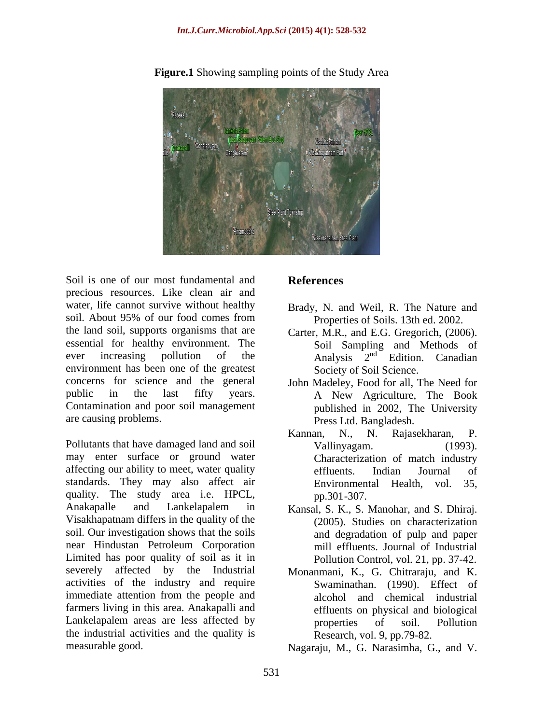

**Figure.1** Showing sampling points of the Study Area

Soil is one of our most fundamental and **References** precious resources. Like clean air and water, life cannot survive without healthy Brady, N. and Weil, R. The Nature and soil. About 95% of our food comes from Properties of Soils. 13th ed. 2002. the land soil, supports organisms that are Carter, M.R., and E.G. Gregorich, (2006). essential for healthy environment. The ever increasing pollution of the  $\qquad$  Analysis  $2^{nd}$  Edition. Canadian environment has been one of the greatest concerns for science and the general John Madeley, Food for all, The Need for public in the last fifty years. A New Agriculture, The Book Contamination and poor soil management

Pollutants that have damaged land and soil Vallinyagam. (1993). may enter surface or ground water affecting our ability to meet, water quality effluents. Indian Journal of standards. They may also affect air **Environmental Health**, vol. 35, quality. The study area i.e. HPCL, pp. 301-307. Anakapalle and Lankelapalem in Kansal, S. K., S. Manohar, and S. Dhiraj. Visakhapatnam differs in the quality of the soil. Our investigation shows that the soils near Hindustan Petroleum Corporation Limited has poor quality of soil as it in severely affected by the Industrial activities of the industry and require immediate attention from the people and <br>alcohol and chemical industrial farmers living in this area. Anakapalli and Lankelapalem areas are less affected by properties of soil. Pollution the industrial activities and the quality is measurable good. Nagaraju, M., G. Narasimha, G., and V.

### **References**

- Properties of Soils. 13th ed. 2002.
- Soil Sampling and Methods of nd Edition. Canadian Society of Soil Science.
- are causing problems. Press Ltd. Bangladesh. published in 2002, The University
	- Kannan, N., N. Rajasekharan, P. Vallinyagam. (1993). Characterization of match industry effluents. Indian Journal of Environmental Health, vol. 35,<br>pp.301-307.
	- Kansal, S. K., S. Manohar, and S. Dhiraj. (2005). Studies on characterization and degradation of pulp and paper mill effluents. Journal of Industrial Pollution Control, vol. 21, pp. 37-42.
	- Monanmani, K., G. Chitraraju, and K. Swaminathan. (1990). Effect of alcohol and chemical industrial effluents on physical and biological properties of soil. Pollution Research, vol. 9, pp.79-82.
	-